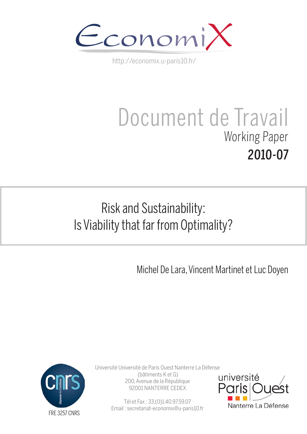

http://economix.u-paris10.fr/

# Document de Travail Working Paper 2010-07

# Risk and Sustainability: Is Viability that far from Optimality?

Michel De Lara, Vincent Martinet et Luc Doyen



Université Université de Paris Ouest Nanterre La Défense (bâtiments K et G) 200, Avenue de la République 92001 NANTERRE CEDEX

> Tél et Fax : 33.(0)1.40.97.59.07 Email : secretariat-economix@u-paris10.fr

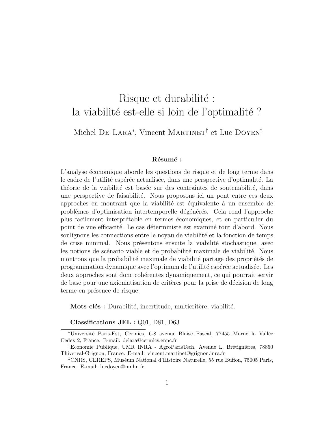# Risque et durabilité : la viabilité est-elle si loin de l'optimalité ?

Michel DE LARA<sup>\*</sup>, Vincent MARTINET<sup>†</sup> et Luc DOYEN<sup>‡</sup>

#### Résumé :

L'analyse économique aborde les questions de risque et de long terme dans le cadre de l'utilité espérée actualisée, dans une perspective d'optimalité. La théorie de la viabilité est basée sur des contraintes de soutenabilité, dans une perspective de faisabilit´e. Nous proposons ici un pont entre ces deux approches en montrant que la viabilité est équivalente à un ensemble de problèmes d'optimisation intertemporelle dégénérés. Cela rend l'approche plus facilement interpr´etable en termes ´economiques, et en particulier du point de vue efficacité. Le cas déterministe est examiné tout d'abord. Nous soulignons les connections entre le noyau de viabilité et la fonction de temps de crise minimal. Nous présentons ensuite la viabilité stochastique, avec les notions de scénario viable et de probabilité maximale de viabilité. Nous montrons que la probabilité maximale de viabilité partage des propriétés de programmation dynamique avec l'optimum de l'utilité espérée actualisée. Les deux approches sont donc coh´erentes dynamiquement, ce qui pourrait servir de base pour une axiomatisation de critères pour la prise de décision de long terme en présence de risque.

Mots-clés : Durabilité, incertitude, multicritère, viabilité.

Classifications JEL : Q01, D81, D63

<sup>∗</sup>Universit´e Paris-Est, Cermics, 6-8 avenue Blaise Pascal, 77455 Marne la Vall´ee Cedex 2, France. E-mail: delara@cermics.enpc.fr

<sup>&</sup>lt;sup>†</sup>Economie Publique, UMR INRA - AgroParisTech, Avenue L. Brétignières, 78850 Thiverval-Grignon, France. E-mail: vincent.martinet@grignon.inra.fr

<sup>&</sup>lt;sup>‡</sup>CNRS, CEREPS, Muséum National d'Histoire Naturelle, 55 rue Buffon, 75005 Paris, France. E-mail: lucdoyen@mnhn.fr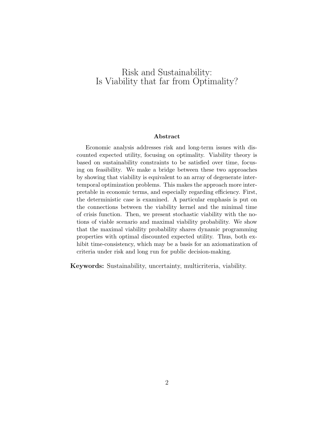## Risk and Sustainability: Is Viability that far from Optimality?

#### Abstract

Economic analysis addresses risk and long-term issues with discounted expected utility, focusing on optimality. Viability theory is based on sustainability constraints to be satisfied over time, focusing on feasibility. We make a bridge between these two approaches by showing that viability is equivalent to an array of degenerate intertemporal optimization problems. This makes the approach more interpretable in economic terms, and especially regarding efficiency. First, the deterministic case is examined. A particular emphasis is put on the connections between the viability kernel and the minimal time of crisis function. Then, we present stochastic viability with the notions of viable scenario and maximal viability probability. We show that the maximal viability probability shares dynamic programming properties with optimal discounted expected utility. Thus, both exhibit time-consistency, which may be a basis for an axiomatization of criteria under risk and long run for public decision-making.

Keywords: Sustainability, uncertainty, multicriteria, viability.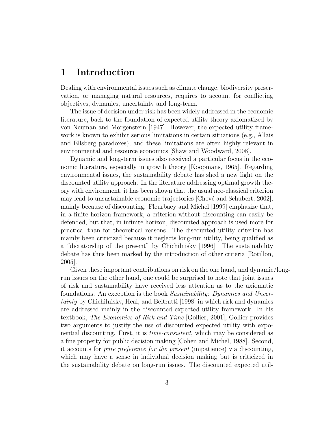## 1 Introduction

Dealing with environmental issues such as climate change, biodiversity preservation, or managing natural resources, requires to account for conflicting objectives, dynamics, uncertainty and long-term.

The issue of decision under risk has been widely addressed in the economic literature, back to the foundation of expected utility theory axiomatized by von Neuman and Morgenstern [1947]. However, the expected utility framework is known to exhibit serious limitations in certain situations (e.g., Allais and Ellsberg paradoxes), and these limitations are often highly relevant in environmental and resource economics [Shaw and Woodward, 2008].

Dynamic and long-term issues also received a particular focus in the economic literature, especially in growth theory [Koopmans, 1965]. Regarding environmental issues, the sustainability debate has shed a new light on the discounted utility approach. In the literature addressing optimal growth theory with environment, it has been shown that the usual neo-classical criterion may lead to unsustainable economic trajectories [Chevé and Schubert, 2002], mainly because of discounting. Fleurbaey and Michel [1999] emphasize that, in a finite horizon framework, a criterion without discounting can easily be defended, but that, in infinite horizon, discounted approach is used more for practical than for theoretical reasons. The discounted utility criterion has mainly been criticized because it neglects long-run utility, being qualified as a "dictatorship of the present" by Chichilnisky [1996]. The sustainability debate has thus been marked by the introduction of other criteria [Rotillon, 2005].

Given these important contributions on risk on the one hand, and dynamic/longrun issues on the other hand, one could be surprised to note that joint issues of risk and sustainability have received less attention as to the axiomatic foundations. An exception is the book Sustainability: Dynamics and Uncertainty by Chichilnisky, Heal, and Beltratti [1998] in which risk and dynamics are addressed mainly in the discounted expected utility framework. In his textbook, The Economics of Risk and Time [Gollier, 2001], Gollier provides two arguments to justify the use of discounted expected utility with exponential discounting. First, it is time-consistent, which may be considered as a fine property for public decision making [Cohen and Michel, 1988]. Second, it accounts for pure preference for the present (impatience) via discounting, which may have a sense in individual decision making but is criticized in the sustainability debate on long-run issues. The discounted expected util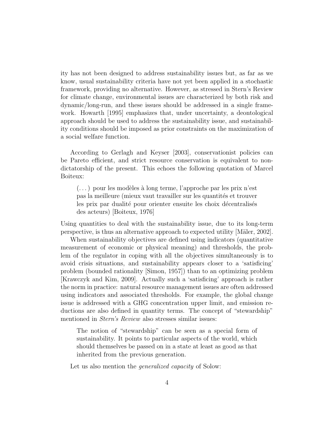ity has not been designed to address sustainability issues but, as far as we know, usual sustainability criteria have not yet been applied in a stochastic framework, providing no alternative. However, as stressed in Stern's Review for climate change, environmental issues are characterized by both risk and dynamic/long-run, and these issues should be addressed in a single framework. Howarth [1995] emphasizes that, under uncertainty, a deontological approach should be used to address the sustainability issue, and sustainability conditions should be imposed as prior constraints on the maximization of a social welfare function.

According to Gerlagh and Keyser [2003], conservationist policies can be Pareto efficient, and strict resource conservation is equivalent to nondictatorship of the present. This echoes the following quotation of Marcel Boiteux:

 $(\dots)$  pour les modèles à long terme, l'approche par les prix n'est pas la meilleure (mieux vaut travailler sur les quantités et trouver les prix par dualité pour orienter ensuite les choix décentralisés des acteurs) [Boiteux, 1976]

Using quantities to deal with the sustainability issue, due to its long-term perspective, is thus an alternative approach to expected utility [M¨aler, 2002].

When sustainability objectives are defined using indicators (quantitative measurement of economic or physical meaning) and thresholds, the problem of the regulator in coping with all the objectives simultaneously is to avoid crisis situations, and sustainability appears closer to a 'satisficing' problem (bounded rationality [Simon, 1957]) than to an optimizing problem [Krawczyk and Kim, 2009]. Actually such a 'satisficing' approach is rather the norm in practice: natural resource management issues are often addressed using indicators and associated thresholds. For example, the global change issue is addressed with a GHG concentration upper limit, and emission reductions are also defined in quantity terms. The concept of "stewardship" mentioned in *Stern's Review* also stresses similar issues:

The notion of "stewardship" can be seen as a special form of sustainability. It points to particular aspects of the world, which should themselves be passed on in a state at least as good as that inherited from the previous generation.

Let us also mention the *generalized capacity* of Solow: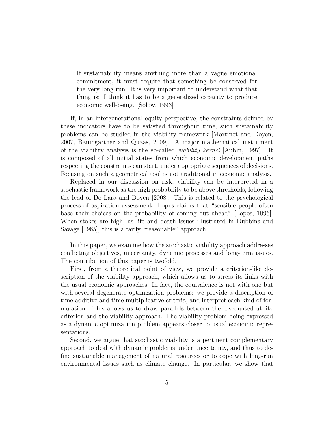If sustainability means anything more than a vague emotional commitment, it must require that something be conserved for the very long run. It is very important to understand what that thing is: I think it has to be a generalized capacity to produce economic well-being. [Solow, 1993]

If, in an intergenerational equity perspective, the constraints defined by these indicators have to be satisfied throughout time, such sustainability problems can be studied in the viability framework [Martinet and Doyen, 2007, Baumgärtner and Quaas, 2009. A major mathematical instrument of the viability analysis is the so-called viability kernel [Aubin, 1997]. It is composed of all initial states from which economic development paths respecting the constraints can start, under appropriate sequences of decisions. Focusing on such a geometrical tool is not traditional in economic analysis.

Replaced in our discussion on risk, viability can be interpreted in a stochastic framework as the high probability to be above thresholds, following the lead of De Lara and Doyen [2008]. This is related to the psychological process of aspiration assessment: Lopes claims that "sensible people often base their choices on the probability of coming out ahead" [Lopes, 1996]. When stakes are high, as life and death issues illustrated in Dubbins and Savage [1965], this is a fairly "reasonable" approach.

In this paper, we examine how the stochastic viability approach addresses conflicting objectives, uncertainty, dynamic processes and long-term issues. The contribution of this paper is twofold.

First, from a theoretical point of view, we provide a criterion-like description of the viability approach, which allows us to stress its links with the usual economic approaches. In fact, the equivalence is not with one but with several degenerate optimization problems: we provide a description of time additive and time multiplicative criteria, and interpret each kind of formulation. This allows us to draw parallels between the discounted utility criterion and the viability approach. The viability problem being expressed as a dynamic optimization problem appears closer to usual economic representations.

Second, we argue that stochastic viability is a pertinent complementary approach to deal with dynamic problems under uncertainty, and thus to define sustainable management of natural resources or to cope with long-run environmental issues such as climate change. In particular, we show that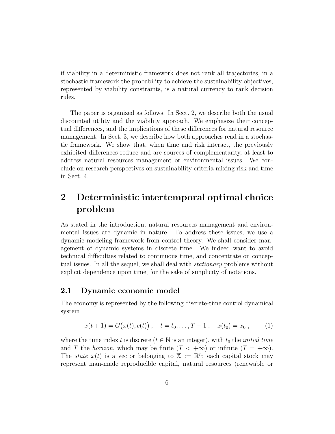if viability in a deterministic framework does not rank all trajectories, in a stochastic framework the probability to achieve the sustainability objectives, represented by viability constraints, is a natural currency to rank decision rules.

The paper is organized as follows. In Sect. 2, we describe both the usual discounted utility and the viability approach. We emphasize their conceptual differences, and the implications of these differences for natural resource management. In Sect. 3, we describe how both approaches read in a stochastic framework. We show that, when time and risk interact, the previously exhibited differences reduce and are sources of complementarity, at least to address natural resources management or environmental issues. We conclude on research perspectives on sustainability criteria mixing risk and time in Sect. 4.

# 2 Deterministic intertemporal optimal choice problem

As stated in the introduction, natural resources management and environmental issues are dynamic in nature. To address these issues, we use a dynamic modeling framework from control theory. We shall consider management of dynamic systems in discrete time. We indeed want to avoid technical difficulties related to continuous time, and concentrate on conceptual issues. In all the sequel, we shall deal with *stationary* problems without explicit dependence upon time, for the sake of simplicity of notations.

#### 2.1 Dynamic economic model

The economy is represented by the following discrete-time control dynamical system

$$
x(t+1) = G(x(t), c(t)), \quad t = t_0, \dots, T-1, \quad x(t_0) = x_0, \tag{1}
$$

where the time index t is discrete ( $t \in \mathbb{N}$  is an integer), with  $t_0$  the *initial time* and T the horizon, which may be finite  $(T < +\infty)$  or infinite  $(T = +\infty)$ . The *state*  $x(t)$  is a vector belonging to  $\mathbb{X} := \mathbb{R}^n$ ; each capital stock may represent man-made reproducible capital, natural resources (renewable or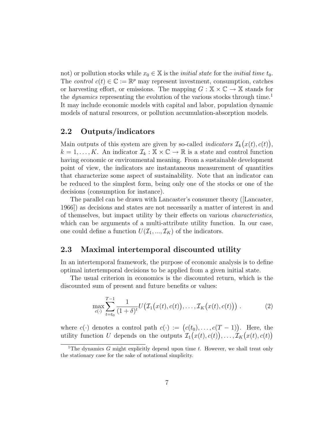not) or pollution stocks while  $x_0 \in \mathbb{X}$  is the *initial state* for the *initial time*  $t_0$ . The control  $c(t) \in \mathbb{C} := \mathbb{R}^p$  may represent investment, consumption, catches or harvesting effort, or emissions. The mapping  $G : \mathbb{X} \times \mathbb{C} \to \mathbb{X}$  stands for the *dynamics* representing the evolution of the various stocks through time.<sup>1</sup> It may include economic models with capital and labor, population dynamic models of natural resources, or pollution accumulation-absorption models.

#### 2.2 Outputs/indicators

Main outputs of this system are given by so-called *indicators*  $\mathcal{I}_k(x(t), c(t))$ ,  $k = 1, \ldots, K$ . An indicator  $\mathcal{I}_k : \mathbb{X} \times \mathbb{C} \to \mathbb{R}$  is a state and control function having economic or environmental meaning. From a sustainable development point of view, the indicators are instantaneous measurement of quantities that characterize some aspect of sustainability. Note that an indicator can be reduced to the simplest form, being only one of the stocks or one of the decisions (consumption for instance).

The parallel can be drawn with Lancaster's consumer theory ([Lancaster, 1966]) as decisions and states are not necessarily a matter of interest in and of themselves, but impact utility by their effects on various characteristics, which can be arguments of a multi-attribute utility function. In our case, one could define a function  $U(\mathcal{I}_1, ..., \mathcal{I}_K)$  of the indicators.

#### 2.3 Maximal intertemporal discounted utility

In an intertemporal framework, the purpose of economic analysis is to define optimal intertemporal decisions to be applied from a given initial state.

The usual criterion in economics is the discounted return, which is the discounted sum of present and future benefits or values:

$$
\max_{c(\cdot)} \sum_{t=t_0}^{T-1} \frac{1}{(1+\delta)^t} U\big(\mathcal{I}_1\big(x(t), c(t)\big), \dots, \mathcal{I}_K\big(x(t), c(t)\big)\big) \ . \tag{2}
$$

where  $c(\cdot)$  denotes a control path  $c(\cdot) := (c(t_0), \ldots, c(T-1))$ . Here, the utility function U depends on the outputs  $\mathcal{I}_1(x(t), c(t)), \ldots, \mathcal{I}_K(x(t), c(t))$ 

<sup>&</sup>lt;sup>1</sup>The dynamics G might explicitly depend upon time  $t$ . However, we shall treat only the stationary case for the sake of notational simplicity.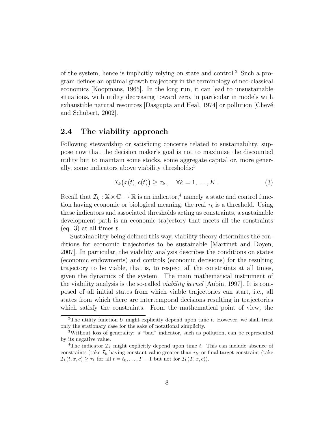of the system, hence is implicitly relying on state and control.<sup>2</sup> Such a program defines an optimal growth trajectory in the terminology of neo-classical economics [Koopmans, 1965]. In the long run, it can lead to unsustainable situations, with utility decreasing toward zero, in particular in models with exhaustible natural resources [Dasgupta and Heal, 1974] or pollution [Chevé and Schubert, 2002].

#### 2.4 The viability approach

Following stewardship or satisficing concerns related to sustainability, suppose now that the decision maker's goal is not to maximize the discounted utility but to maintain some stocks, some aggregate capital or, more generally, some indicators above viability thresholds:<sup>3</sup>

$$
\mathcal{I}_k(x(t), c(t)) \ge \tau_k , \quad \forall k = 1, \dots, K . \tag{3}
$$

Recall that  $\mathcal{I}_k : \mathbb{X} \times \mathbb{C} \to \mathbb{R}$  is an indicator,<sup>4</sup> namely a state and control function having economic or biological meaning; the real  $\tau_k$  is a threshold. Using these indicators and associated thresholds acting as constraints, a sustainable development path is an economic trajectory that meets all the constraints (eq. 3) at all times  $t$ .

Sustainability being defined this way, viability theory determines the conditions for economic trajectories to be sustainable [Martinet and Doyen, 2007]. In particular, the viability analysis describes the conditions on states (economic endowments) and controls (economic decisions) for the resulting trajectory to be viable, that is, to respect all the constraints at all times, given the dynamics of the system. The main mathematical instrument of the viability analysis is the so-called viability kernel [Aubin, 1997]. It is composed of all initial states from which viable trajectories can start, i.e., all states from which there are intertemporal decisions resulting in trajectories which satisfy the constraints. From the mathematical point of view, the

<sup>&</sup>lt;sup>2</sup>The utility function U might explicitly depend upon time  $t$ . However, we shall treat only the stationary case for the sake of notational simplicity.

<sup>3</sup>Without loss of generality: a "bad" indicator, such as pollution, can be represented by its negative value.

<sup>&</sup>lt;sup>4</sup>The indicator  $\mathcal{I}_k$  might explicitly depend upon time t. This can include absence of constraints (take  $\mathcal{I}_k$  having constant value greater than  $\tau_k$ , or final target constraint (take  $\mathcal{I}_k(t, x, c) \geq \tau_k$  for all  $t = t_0, \ldots, T-1$  but not for  $\mathcal{I}_k(T, x, c)$ .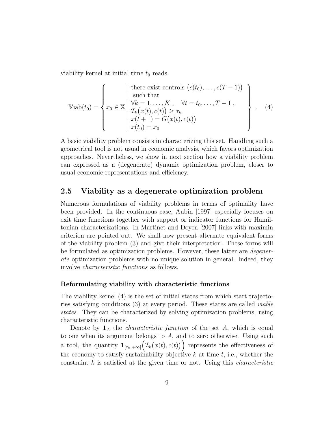viability kernel at initial time  $t_0$  reads

$$
\text{Viab}(t_0) = \left\{ x_0 \in \mathbb{X} \middle| \begin{array}{l} \text{there exist controls } (c(t_0), \dots, c(T-1)) \\ \text{such that} \\ \forall k = 1, \dots, K \\ \mathcal{T}_k(x(t), c(t)) \ge \tau_k \\ x(t+1) = G(x(t), c(t)) \\ x(t_0) = x_0 \end{array} \right\} . \tag{4}
$$

A basic viability problem consists in characterizing this set. Handling such a geometrical tool is not usual in economic analysis, which favors optimization approaches. Nevertheless, we show in next section how a viability problem can expressed as a (degenerate) dynamic optimization problem, closer to usual economic representations and efficiency.

#### 2.5 Viability as a degenerate optimization problem

Numerous formulations of viability problems in terms of optimality have been provided. In the continuous case, Aubin [1997] especially focuses on exit time functions together with support or indicator functions for Hamiltonian characterizations. In Martinet and Doyen [2007] links with maximin criterion are pointed out. We shall now present alternate equivalent forms of the viability problem (3) and give their interpretation. These forms will be formulated as optimization problems. However, these latter are *degener*ate optimization problems with no unique solution in general. Indeed, they involve characteristic functions as follows.

#### Reformulating viability with characteristic functions

The viability kernel (4) is the set of initial states from which start trajectories satisfying conditions (3) at every period. These states are called viable states. They can be characterized by solving optimization problems, using characteristic functions.

Denote by  $\mathbf{1}_A$  the *characteristic function* of the set A, which is equal to one when its argument belongs to  $A$ , and to zero otherwise. Using such a tool, the quantity  $\mathbf{1}_{[\tau_k,+\infty]}(\mathcal{I}_k(x(t),c(t)))$  represents the effectiveness of the economy to satisfy sustainability objective  $k$  at time  $t$ , i.e., whether the constraint  $k$  is satisfied at the given time or not. Using this *characteristic*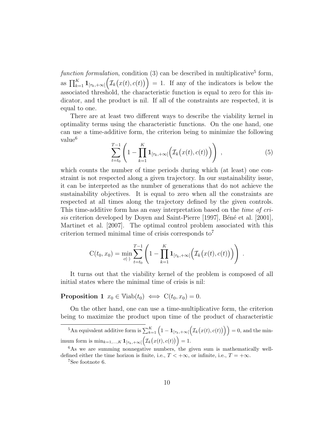function formulation, condition  $(3)$  can be described in multiplicative<sup>5</sup> form, as  $\prod_{k=1}^K \mathbf{1}_{[\tau_k, +\infty[}(\mathcal{I}_k(x(t), c(t))) = 1$ . If any of the indicators is below the associated threshold, the characteristic function is equal to zero for this indicator, and the product is nil. If all of the constraints are respected, it is equal to one.

There are at least two different ways to describe the viability kernel in optimality terms using the characteristic functions. On the one hand, one can use a time-additive form, the criterion being to minimize the following value<sup>6</sup>

$$
\sum_{t=t_0}^{T-1} \left( 1 - \prod_{k=1}^K \mathbf{1}_{[\tau_k, +\infty[} \left( \mathcal{I}_k(x(t), c(t)) \right) \right) , \tag{5}
$$

.

which counts the number of time periods during which (at least) one constraint is not respected along a given trajectory. In our sustainability issue, it can be interpreted as the number of generations that do not achieve the sustainability objectives. It is equal to zero when all the constraints are respected at all times along the trajectory defined by the given controls. This time-additive form has an easy interpretation based on the time of crisis criterion developed by Doyen and Saint-Pierre [1997], Béné et al. [2001], Martinet et al. [2007]. The optimal control problem associated with this criterion termed minimal time of crisis corresponds to<sup>7</sup>

$$
C(t_0, x_0) = \min_{c(\cdot)} \sum_{t=t_0}^{T-1} \left( 1 - \prod_{k=1}^K \mathbf{1}_{[\tau_k, +\infty[} \left( \mathcal{I}_k(x(t), c(t)) \right) \right)
$$

It turns out that the viability kernel of the problem is composed of all initial states where the minimal time of crisis is nil:

**Proposition 1**  $x_0 \in \text{Viab}(t_0) \iff C(t_0, x_0) = 0.$ 

On the other hand, one can use a time-multiplicative form, the criterion being to maximize the product upon time of the product of characteristic

<sup>5</sup>An equivalent additive form is  $\sum_{k=1}^{K} (1 - \mathbf{1}_{[\tau_k, +\infty[} ( \mathcal{I}_k(x(t), c(t))))) = 0$ , and the minimum form is  $\min_{k=1,...,K} \mathbf{1}_{[\tau_k, +\infty[}(\mathcal{I}_k(x(t), c(t))) = 1.$ 

<sup>7</sup>See footnote 6.

 $6$ As we are summing nonnegative numbers, the given sum is mathematically welldefined either the time horizon is finite, i.e.,  $T < +\infty$ , or infinite, i.e.,  $T = +\infty$ .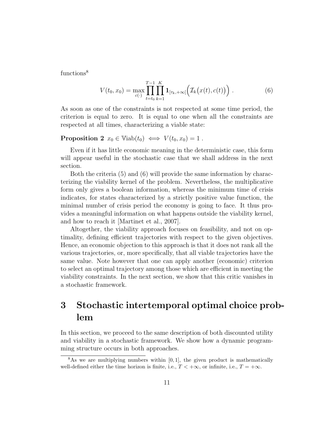functions<sup>8</sup>

$$
V(t_0, x_0) = \max_{c(\cdot)} \prod_{t=t_0}^{T-1} \prod_{k=1}^K \mathbf{1}_{[\tau_k, +\infty[} \Big( \mathcal{I}_k \big( x(t), c(t) \big) \Big) \,. \tag{6}
$$

As soon as one of the constraints is not respected at some time period, the criterion is equal to zero. It is equal to one when all the constraints are respected at all times, characterizing a viable state:

### **Proposition 2**  $x_0 \in \text{Viab}(t_0) \iff V(t_0, x_0) = 1$ .

Even if it has little economic meaning in the deterministic case, this form will appear useful in the stochastic case that we shall address in the next section.

Both the criteria (5) and (6) will provide the same information by characterizing the viability kernel of the problem. Nevertheless, the multiplicative form only gives a boolean information, whereas the minimum time of crisis indicates, for states characterized by a strictly positive value function, the minimal number of crisis period the economy is going to face. It thus provides a meaningful information on what happens outside the viability kernel, and how to reach it [Martinet et al., 2007].

Altogether, the viability approach focuses on feasibility, and not on optimality, defining efficient trajectories with respect to the given objectives. Hence, an economic objection to this approach is that it does not rank all the various trajectories, or, more specifically, that all viable trajectories have the same value. Note however that one can apply another (economic) criterion to select an optimal trajectory among those which are efficient in meeting the viability constraints. In the next section, we show that this critic vanishes in a stochastic framework.

# 3 Stochastic intertemporal optimal choice problem

In this section, we proceed to the same description of both discounted utility and viability in a stochastic framework. We show how a dynamic programming structure occurs in both approaches.

 $8\text{As}$  we are multiplying numbers within [0, 1], the given product is mathematically well-defined either the time horizon is finite, i.e.,  $T < +\infty$ , or infinite, i.e.,  $T = +\infty$ .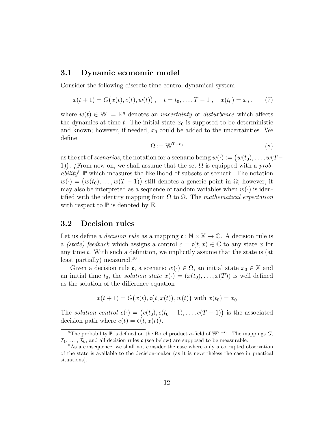#### 3.1 Dynamic economic model

Consider the following discrete-time control dynamical system

$$
x(t+1) = G(x(t), c(t), w(t)), \quad t = t_0, \dots, T-1, \quad x(t_0) = x_0, \qquad (7)
$$

where  $w(t) \in \mathbb{W} := \mathbb{R}^q$  denotes an *uncertainty* or *disturbance* which affects the dynamics at time t. The initial state  $x_0$  is supposed to be deterministic and known; however, if needed,  $x_0$  could be added to the uncertainties. We define

$$
\Omega := \mathbb{W}^{T-t_0} \tag{8}
$$

as the set of *scenarios*, the notation for a scenario being  $w(\cdot) := (w(t_0), \ldots, w(T-\cdot))$ 1). ¿From now on, we shall assume that the set  $\Omega$  is equipped with a probability<sup>9</sup>  $\mathbb P$  which measures the likelihood of subsets of scenarii. The notation  $w(\cdot) = (w(t_0), \ldots, w(T-1))$  still denotes a generic point in  $\Omega$ ; however, it may also be interpreted as a sequence of random variables when  $w(\cdot)$  is identified with the identity mapping from  $\Omega$  to  $\Omega$ . The mathematical expectation with respect to  $\mathbb P$  is denoted by  $\mathbb E$ .

#### 3.2 Decision rules

Let us define a *decision rule* as a mapping  $\mathfrak{c}: \mathbb{N} \times \mathbb{X} \to \mathbb{C}$ . A decision rule is a (state) feedback which assigns a control  $c = c(t, x) \in \mathbb{C}$  to any state x for any time t. With such a definition, we implicitly assume that the state is (at least partially) measured.<sup>10</sup>

Given a decision rule c, a scenario  $w(\cdot) \in \Omega$ , an initial state  $x_0 \in \mathbb{X}$  and an initial time  $t_0$ , the *solution state*  $x(\cdot) = (x(t_0), \dots, x(T))$  is well defined as the solution of the difference equation

$$
x(t + 1) = G(x(t), \mathfrak{c}(t, x(t)), w(t))
$$
 with  $x(t_0) = x_0$ 

The solution control  $c(\cdot) = (c(t_0), c(t_0+1), \ldots, c(T-1))$  is the associated decision path where  $c(t) = c(t, x(t))$ .

<sup>&</sup>lt;sup>9</sup>The probability  $\mathbb P$  is defined on the Borel product  $\sigma$ -field of  $\mathbb W^{T-t_0}$ . The mappings  $G$ ,  $\mathcal{I}_1, \ldots, \mathcal{I}_k$ , and all decision rules  $\mathfrak{c}$  (see below) are supposed to be measurable.

<sup>10</sup>As a consequence, we shall not consider the case where only a corrupted observation of the state is available to the decision-maker (as it is nevertheless the case in practical situations).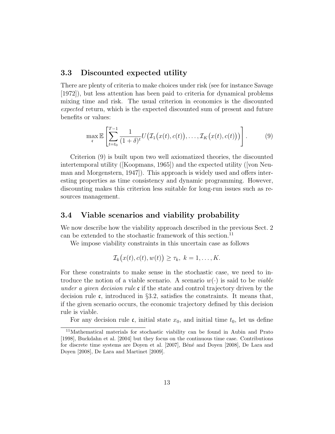#### 3.3 Discounted expected utility

There are plenty of criteria to make choices under risk (see for instance Savage [1972]), but less attention has been paid to criteria for dynamical problems mixing time and risk. The usual criterion in economics is the discounted expected return, which is the expected discounted sum of present and future benefits or values:

$$
\max_{\mathfrak{c}} \mathbb{E}\left[\sum_{t=t_0}^{T-1} \frac{1}{(1+\delta)^t} U\big(\mathcal{I}_1\big(x(t), c(t)\big), \dots, \mathcal{I}_K\big(x(t), c(t)\big)\big)\right].\tag{9}
$$

Criterion (9) is built upon two well axiomatized theories, the discounted intertemporal utility ([Koopmans, 1965]) and the expected utility ([von Neuman and Morgenstern, 1947]). This approach is widely used and offers interesting properties as time consistency and dynamic programming. However, discounting makes this criterion less suitable for long-run issues such as resources management.

#### 3.4 Viable scenarios and viability probability

We now describe how the viability approach described in the previous Sect. 2 can be extended to the stochastic framework of this section.<sup>11</sup>

We impose viability constraints in this uncertain case as follows

$$
\mathcal{I}_k(x(t),c(t),w(t)) \geq \tau_k, \ k=1,\ldots,K.
$$

For these constraints to make sense in the stochastic case, we need to introduce the notion of a viable scenario. A scenario  $w(\cdot)$  is said to be *viable* under a given decision rule  $\mathfrak c$  if the state and control trajectory driven by the decision rule  $\mathfrak{c}$ , introduced in §3.2, satisfies the constraints. It means that, if the given scenario occurs, the economic trajectory defined by this decision rule is viable.

For any decision rule  $\mathfrak{c}$ , initial state  $x_0$ , and initial time  $t_0$ , let us define

<sup>11</sup>Mathematical materials for stochastic viability can be found in Aubin and Prato [1998], Buckdahn et al. [2004] but they focus on the continuous time case. Contributions for discrete time systems are Doyen et al. [2007], Béné and Doyen [2008], De Lara and Doyen [2008], De Lara and Martinet [2009].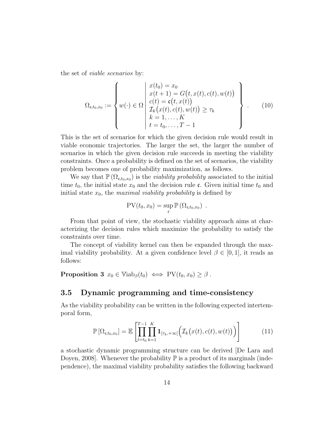the set of viable scenarios by:

$$
\Omega_{\mathfrak{c},t_0,x_0} := \left\{ w(\cdot) \in \Omega \, \middle| \, \begin{array}{l} x(t_0) = x_0 \\ x(t+1) = G(t, x(t), c(t), w(t)) \\ c(t) = \mathfrak{c}(t, x(t)) \\ \mathcal{I}_k(x(t), c(t), w(t)) \geq \tau_k \\ k = 1, \dots, K \\ t = t_0, \dots, T-1 \end{array} \right\} \tag{10}
$$

This is the set of scenarios for which the given decision rule would result in viable economic trajectories. The larger the set, the larger the number of scenarios in which the given decision rule succeeds in meeting the viability constraints. Once a probability is defined on the set of scenarios, the viability problem becomes one of probability maximization, as follows.

We say that  $\mathbb{P}(\Omega_{\mathfrak{c},t_0,x_0})$  is the *viability probability* associated to the initial time  $t_0$ , the initial state  $x_0$  and the decision rule c. Given initial time  $t_0$  and initial state  $x_0$ , the maximal viability probability is defined by

$$
PV(t_0, x_0) = \sup_{\mathfrak{c}} \mathbb{P} (\Omega_{\mathfrak{c},t_0,x_0}) .
$$

From that point of view, the stochastic viability approach aims at characterizing the decision rules which maximize the probability to satisfy the constraints over time.

The concept of viability kernel can then be expanded through the maximal viability probability. At a given confidence level  $\beta \in [0,1]$ , it reads as follows:

**Proposition 3**  $x_0 \in \text{Viab}_{\beta}(t_0) \iff \text{PV}(t_0, x_0) \geq \beta$ .

#### 3.5 Dynamic programming and time-consistency

As the viability probability can be written in the following expected intertemporal form,

$$
\mathbb{P}\left[\Omega_{\mathfrak{c},t_0,x_0}\right] = \mathbb{E}\left[\prod_{t=t_0}^{T-1}\prod_{k=1}^K \mathbf{1}_{[\tau_k,+\infty[}\Big(\mathcal{I}_k\big(x(t),c(t),w(t)\big)\Big)\right] \tag{11}
$$

a stochastic dynamic programming structure can be derived [De Lara and Doyen, 2008]. Whenever the probability  $\mathbb P$  is a product of its marginals (independence), the maximal viability probability satisfies the following backward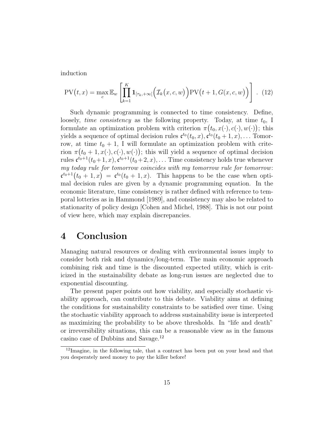induction

$$
PV(t,x) = \max_{c} \mathbb{E}_{w} \left[ \prod_{k=1}^{K} \mathbf{1}_{[\tau_k, +\infty[} \left( \mathcal{I}_k(x,c,w) \right) PV(t+1, G(x,c,w)) \right]. \quad (12)
$$

Such dynamic programming is connected to time consistency. Define, loosely, *time consistency* as the following property. Today, at time  $t_0$ , I formulate an optimization problem with criterion  $\pi(t_0, x(\cdot), c(\cdot), w(\cdot))$ ; this yields a sequence of optimal decision rules  $\mathfrak{c}^{t_0}(t_0, x), \mathfrak{c}^{t_0}(t_0 + 1, x), \dots$  Tomorrow, at time  $t_0 + 1$ , I will formulate an optimization problem with criterion  $\pi(t_0+1, x(\cdot), c(\cdot), w(\cdot))$ ; this will yield a sequence of optimal decision rules  $\mathfrak{c}^{t_0+1}(t_0+1,x), \mathfrak{c}^{t_0+1}(t_0+2,x), \ldots$  Time consistency holds true whenever my today rule for tomorrow coincides with my tomorrow rule for tomorrow:  $\mathfrak{c}^{t_0+1}(t_0+1,x) = \mathfrak{c}^{t_0}(t_0+1,x)$ . This happens to be the case when optimal decision rules are given by a dynamic programming equation. In the economic literature, time consistency is rather defined with reference to temporal lotteries as in Hammond [1989], and consistency may also be related to stationarity of policy design [Cohen and Michel, 1988]. This is not our point of view here, which may explain discrepancies.

### 4 Conclusion

Managing natural resources or dealing with environmental issues imply to consider both risk and dynamics/long-term. The main economic approach combining risk and time is the discounted expected utility, which is criticized in the sustainability debate as long-run issues are neglected due to exponential discounting.

The present paper points out how viability, and especially stochastic viability approach, can contribute to this debate. Viability aims at defining the conditions for sustainability constraints to be satisfied over time. Using the stochastic viability approach to address sustainability issue is interpreted as maximizing the probability to be above thresholds. In "life and death" or irreversibility situations, this can be a reasonable view as in the famous casino case of Dubbins and Savage.<sup>12</sup>

<sup>12</sup>Imagine, in the following tale, that a contract has been put on your head and that you desperately need money to pay the killer before!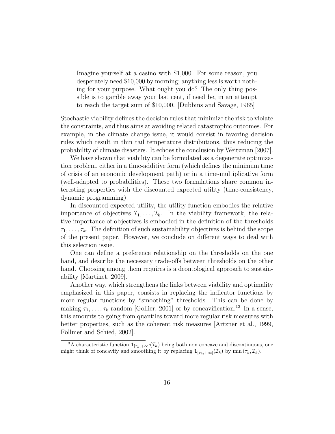Imagine yourself at a casino with \$1,000. For some reason, you desperately need \$10,000 by morning; anything less is worth nothing for your purpose. What ought you do? The only thing possible is to gamble away your last cent, if need be, in an attempt to reach the target sum of \$10,000. [Dubbins and Savage, 1965]

Stochastic viability defines the decision rules that minimize the risk to violate the constraints, and thus aims at avoiding related catastrophic outcomes. For example, in the climate change issue, it would consist in favoring decision rules which result in thin tail temperature distributions, thus reducing the probability of climate disasters. It echoes the conclusion by Weitzman [2007].

We have shown that viability can be formulated as a degenerate optimization problem, either in a time-additive form (which defines the minimum time of crisis of an economic development path) or in a time-multiplicative form (well-adapted to probabilities). These two formulations share common interesting properties with the discounted expected utility (time-consistency, dynamic programming).

In discounted expected utility, the utility function embodies the relative importance of objectives  $\mathcal{I}_1, \ldots, \mathcal{I}_k$ . In the viability framework, the relative importance of objectives is embodied in the definition of the thresholds  $\tau_1, \ldots, \tau_k$ . The definition of such sustainability objectives is behind the scope of the present paper. However, we conclude on different ways to deal with this selection issue.

One can define a preference relationship on the thresholds on the one hand, and describe the necessary trade-offs between thresholds on the other hand. Choosing among them requires is a deontological approach to sustainability [Martinet, 2009].

Another way, which strengthens the links between viability and optimality emphasized in this paper, consists in replacing the indicator functions by more regular functions by "smoothing" thresholds. This can be done by making  $\tau_1, \ldots, \tau_k$  random [Gollier, 2001] or by concavification.<sup>13</sup> In a sense, this amounts to going from quantiles toward more regular risk measures with better properties, such as the coherent risk measures [Artzner et al., 1999, Föllmer and Schied, 2002].

<sup>&</sup>lt;sup>13</sup>A characteristic function  $\mathbf{1}_{[\tau_k,+\infty]}(\mathcal{I}_k)$  being both non concave and discontinuous, one might think of concavify and smoothing it by replacing  $\mathbf{1}_{[\tau_k,+\infty]}(\mathcal{I}_k)$  by min  $(\tau_k,\mathcal{I}_k)$ .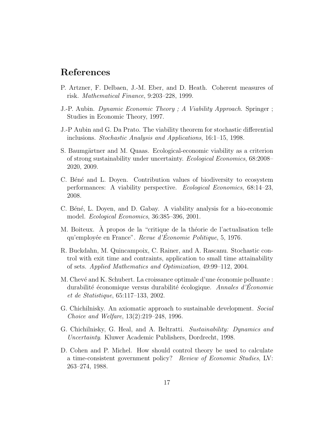## References

- P. Artzner, F. Delbaen, J.-M. Eber, and D. Heath. Coherent measures of risk. Mathematical Finance, 9:203–228, 1999.
- J.-P. Aubin. Dynamic Economic Theory ; A Viability Approach. Springer ; Studies in Economic Theory, 1997.
- J.-P Aubin and G. Da Prato. The viability theorem for stochastic differential inclusions. Stochastic Analysis and Applications, 16:1–15, 1998.
- S. Baumgärtner and M. Quaas. Ecological-economic viability as a criterion of strong sustainability under uncertainty. Ecological Economics, 68:2008– 2020, 2009.
- C. Béné and L. Doyen. Contribution values of biodiversity to ecosystem performances: A viability perspective. Ecological Economics, 68:14–23, 2008.
- C. Béné, L. Doyen, and D. Gabay. A viability analysis for a bio-economic model. Ecological Economics, 36:385–396, 2001.
- M. Boiteux. À propos de la "critique de la théorie de l'actualisation telle qu'employée en France". Revue d'Économie Politique, 5, 1976.
- R. Buckdahn, M. Quincampoix, C. Rainer, and A. Rascanu. Stochastic control with exit time and contraints, application to small time attainability of sets. Applied Mathematics and Optimization, 49:99–112, 2004.
- M. Chevé and K. Schubert. La croissance optimale d'une économie polluante : durabilité économique versus durabilité écologique. Annales d'Economie et de Statistique, 65:117–133, 2002.
- G. Chichilnisky. An axiomatic approach to sustainable development. Social Choice and Welfare, 13(2):219–248, 1996.
- G. Chichilnisky, G. Heal, and A. Beltratti. Sustainability: Dynamics and Uncertainty. Kluwer Academic Publishers, Dordrecht, 1998.
- D. Cohen and P. Michel. How should control theory be used to calculate a time-consistent government policy? Review of Economic Studies, LV: 263–274, 1988.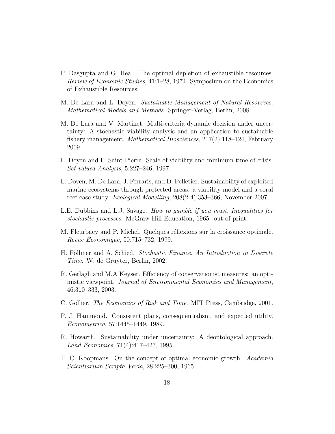- P. Dasgupta and G. Heal. The optimal depletion of exhaustible resources. Review of Economic Studies, 41:1–28, 1974. Symposium on the Economics of Exhaustible Resources.
- M. De Lara and L. Doyen. Sustainable Management of Natural Resources. Mathematical Models and Methods. Springer-Verlag, Berlin, 2008.
- M. De Lara and V. Martinet. Multi-criteria dynamic decision under uncertainty: A stochastic viability analysis and an application to sustainable fishery management. Mathematical Biosciences, 217(2):118–124, February 2009.
- L. Doyen and P. Saint-Pierre. Scale of viability and minimum time of crisis. Set-valued Analysis, 5:227–246, 1997.
- L. Doyen, M. De Lara, J. Ferraris, and D. Pelletier. Sustainability of exploited marine ecosystems through protected areas: a viability model and a coral reef case study. Ecological Modelling, 208(2-4):353–366, November 2007.
- L.E. Dubbins and L.J. Savage. How to gamble if you must. Inequalities for stochastic processes. McGraw-Hill Education, 1965. out of print.
- M. Fleurbaey and P. Michel. Quelques réflexions sur la croissance optimale. Revue Economique, 50:715–732, 1999.
- H. Föllmer and A. Schied. Stochastic Finance. An Introduction in Discrete Time. W. de Gruyter, Berlin, 2002.
- R. Gerlagh and M.A Keyser. Efficiency of conservationist measures: an optimistic viewpoint. Journal of Environmental Economics and Management, 46:310–333, 2003.
- C. Gollier. The Economics of Risk and Time. MIT Press, Cambridge, 2001.
- P. J. Hammond. Consistent plans, consequentialism, and expected utility. Econometrica, 57:1445–1449, 1989.
- R. Howarth. Sustainability under uncertainty: A deontological approach. Land Economics, 71(4):417–427, 1995.
- T. C. Koopmans. On the concept of optimal economic growth. Academia Scientiarium Scripta Varia, 28:225–300, 1965.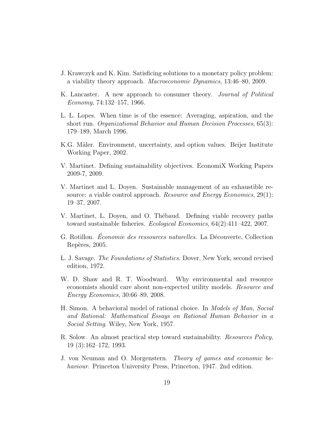- J. Krawczyk and K. Kim. Satisficing solutions to a monetary policy problem: a viability theory approach. Macroeconomic Dynamics, 13:46–80, 2009.
- K. Lancaster. A new approach to consumer theory. Journal of Political Economy, 74:132–157, 1966.
- L. L. Lopes. When time is of the essence: Averaging, aspiration, and the short run. Organizational Behavior and Human Decision Processes, 65(3): 179–189, March 1996.
- K.G. Mäler. Environment, uncertainty, and option values. Beijer Institute Working Paper, 2002.
- V. Martinet. Defining sustainability objectives. EconomiX Working Papers 2009-7, 2009.
- V. Martinet and L. Doyen. Sustainable management of an exhaustible resource: a viable control approach. Resource and Energy Economics, 29(1): 19–37, 2007.
- V. Martinet, L. Doyen, and O. Thébaud. Defining viable recovery paths toward sustainable fisheries. Ecological Economics, 64(2):411–422, 2007.
- G. Rotillon. *Economie des ressources naturelles*. La Découverte, Collection Repères, 2005.
- L. J. Savage. The Foundations of Statistics. Dover, New York, second revised edition, 1972.
- W. D. Shaw and R. T. Woodward. Why environmental and resource economists should care about non-expected utility models. Resource and Energy Economics, 30:66–89, 2008.
- H. Simon. A behavioral model of rational choice. In Models of Man, Social and Rational: Mathematical Essays on Rational Human Behavior in a Social Setting. Wiley, New York, 1957.
- R. Solow. An almost practical step toward sustainability. Resources Policy, 19 (3):162–172, 1993.
- J. von Neuman and O. Morgenstern. Theory of games and economic behaviour. Princeton University Press, Princeton, 1947. 2nd edition.